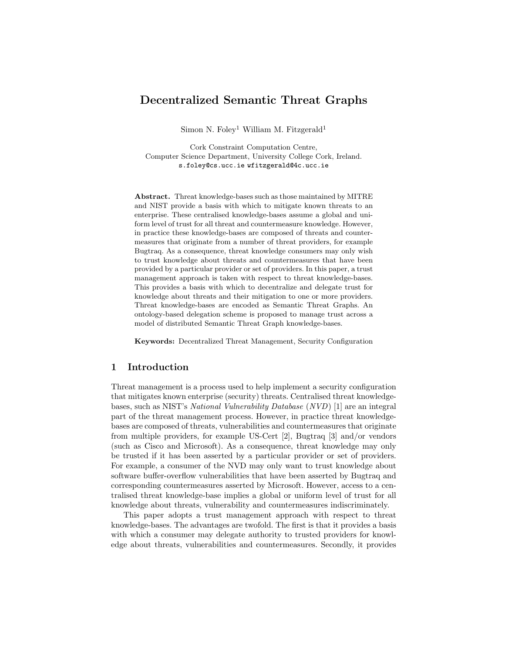# Decentralized Semantic Threat Graphs

Simon N. Foley<sup>1</sup> William M. Fitzgerald<sup>1</sup>

Cork Constraint Computation Centre, Computer Science Department, University College Cork, Ireland. s.foley@cs.ucc.ie wfitzgerald@4c.ucc.ie

Abstract. Threat knowledge-bases such as those maintained by MITRE and NIST provide a basis with which to mitigate known threats to an enterprise. These centralised knowledge-bases assume a global and uniform level of trust for all threat and countermeasure knowledge. However, in practice these knowledge-bases are composed of threats and countermeasures that originate from a number of threat providers, for example Bugtraq. As a consequence, threat knowledge consumers may only wish to trust knowledge about threats and countermeasures that have been provided by a particular provider or set of providers. In this paper, a trust management approach is taken with respect to threat knowledge-bases. This provides a basis with which to decentralize and delegate trust for knowledge about threats and their mitigation to one or more providers. Threat knowledge-bases are encoded as Semantic Threat Graphs. An ontology-based delegation scheme is proposed to manage trust across a model of distributed Semantic Threat Graph knowledge-bases.

Keywords: Decentralized Threat Management, Security Configuration

# 1 Introduction

Threat management is a process used to help implement a security configuration that mitigates known enterprise (security) threats. Centralised threat knowledgebases, such as NIST's National Vulnerability Database (NVD) [1] are an integral part of the threat management process. However, in practice threat knowledgebases are composed of threats, vulnerabilities and countermeasures that originate from multiple providers, for example US-Cert [2], Bugtraq [3] and/or vendors (such as Cisco and Microsoft). As a consequence, threat knowledge may only be trusted if it has been asserted by a particular provider or set of providers. For example, a consumer of the NVD may only want to trust knowledge about software buffer-overflow vulnerabilities that have been asserted by Bugtraq and corresponding countermeasures asserted by Microsoft. However, access to a centralised threat knowledge-base implies a global or uniform level of trust for all knowledge about threats, vulnerability and countermeasures indiscriminately.

This paper adopts a trust management approach with respect to threat knowledge-bases. The advantages are twofold. The first is that it provides a basis with which a consumer may delegate authority to trusted providers for knowledge about threats, vulnerabilities and countermeasures. Secondly, it provides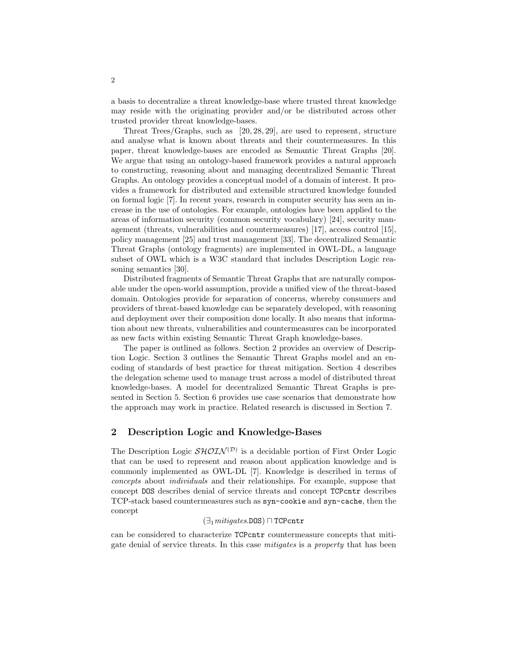a basis to decentralize a threat knowledge-base where trusted threat knowledge may reside with the originating provider and/or be distributed across other trusted provider threat knowledge-bases.

Threat Trees/Graphs, such as [20, 28, 29], are used to represent, structure and analyse what is known about threats and their countermeasures. In this paper, threat knowledge-bases are encoded as Semantic Threat Graphs [20]. We argue that using an ontology-based framework provides a natural approach to constructing, reasoning about and managing decentralized Semantic Threat Graphs. An ontology provides a conceptual model of a domain of interest. It provides a framework for distributed and extensible structured knowledge founded on formal logic [7]. In recent years, research in computer security has seen an increase in the use of ontologies. For example, ontologies have been applied to the areas of information security (common security vocabulary) [24], security management (threats, vulnerabilities and countermeasures) [17], access control [15], policy management [25] and trust management [33]. The decentralized Semantic Threat Graphs (ontology fragments) are implemented in OWL-DL, a language subset of OWL which is a W3C standard that includes Description Logic reasoning semantics [30].

Distributed fragments of Semantic Threat Graphs that are naturally composable under the open-world assumption, provide a unified view of the threat-based domain. Ontologies provide for separation of concerns, whereby consumers and providers of threat-based knowledge can be separately developed, with reasoning and deployment over their composition done locally. It also means that information about new threats, vulnerabilities and countermeasures can be incorporated as new facts within existing Semantic Threat Graph knowledge-bases.

The paper is outlined as follows. Section 2 provides an overview of Description Logic. Section 3 outlines the Semantic Threat Graphs model and an encoding of standards of best practice for threat mitigation. Section 4 describes the delegation scheme used to manage trust across a model of distributed threat knowledge-bases. A model for decentralized Semantic Threat Graphs is presented in Section 5. Section 6 provides use case scenarios that demonstrate how the approach may work in practice. Related research is discussed in Section 7.

# 2 Description Logic and Knowledge-Bases

The Description Logic  $\mathcal{SHOLN}^{(\mathcal{D})}$  is a decidable portion of First Order Logic that can be used to represent and reason about application knowledge and is commonly implemented as OWL-DL [7]. Knowledge is described in terms of concepts about individuals and their relationships. For example, suppose that concept DOS describes denial of service threats and concept TCPcntr describes TCP-stack based countermeasures such as syn-cookie and syn-cache, then the concept

#### $(\exists_1\,mitiques.$ DOS)  $\sqcap$  TCPcntr

can be considered to characterize TCPcntr countermeasure concepts that mitigate denial of service threats. In this case mitigates is a property that has been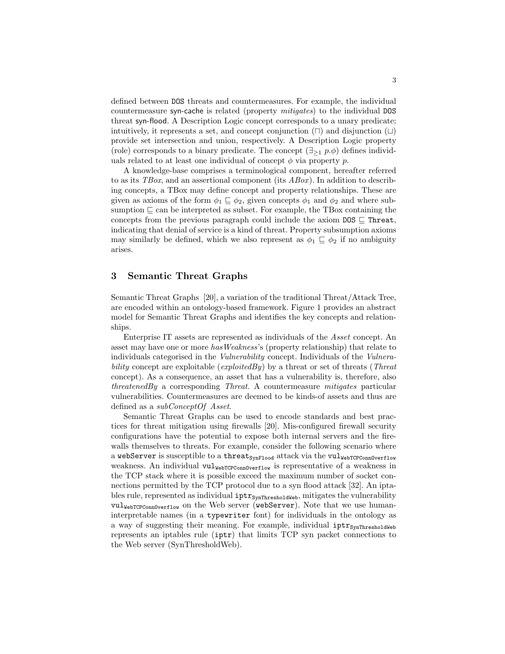defined between DOS threats and countermeasures. For example, the individual countermeasure syn-cache is related (property mitigates) to the individual DOS threat syn-flood. A Description Logic concept corresponds to a unary predicate; intuitively, it represents a set, and concept conjunction  $(\Box)$  and disjunction  $(\Box)$ provide set intersection and union, respectively. A Description Logic property (role) corresponds to a binary predicate. The concept  $(\exists_{\geq 1} p.\phi)$  defines individuals related to at least one individual of concept  $\phi$  via property p.

A knowledge-base comprises a terminological component, hereafter referred to as its TBox, and an assertional component (its  $ABox$ ). In addition to describing concepts, a TBox may define concept and property relationships. These are given as axioms of the form  $\phi_1 \subseteq \phi_2$ , given concepts  $\phi_1$  and  $\phi_2$  and where subsumption ⊑ can be interpreted as subset. For example, the TBox containing the concepts from the previous paragraph could include the axiom  $DOS \n\sqsubseteq$  Threat, indicating that denial of service is a kind of threat. Property subsumption axioms may similarly be defined, which we also represent as  $\phi_1 \subseteq \phi_2$  if no ambiguity arises.

#### 3 Semantic Threat Graphs

Semantic Threat Graphs [20], a variation of the traditional Threat/Attack Tree, are encoded within an ontology-based framework. Figure 1 provides an abstract model for Semantic Threat Graphs and identifies the key concepts and relationships.

Enterprise IT assets are represented as individuals of the Asset concept. An asset may have one or more hasWeakness's (property relationship) that relate to individuals categorised in the Vulnerability concept. Individuals of the Vulnerability concept are exploitable  $(exploitedBy)$  by a threat or set of threats (*Threat* concept). As a consequence, an asset that has a vulnerability is, therefore, also threatenedBy a corresponding Threat. A countermeasure mitigates particular vulnerabilities. Countermeasures are deemed to be kinds-of assets and thus are defined as a subConceptOf Asset.

Semantic Threat Graphs can be used to encode standards and best practices for threat mitigation using firewalls [20]. Mis-configured firewall security configurations have the potential to expose both internal servers and the firewalls themselves to threats. For example, consider the following scenario where a webServer is susceptible to a threat  $_{\text{SynFlood}}$  attack via the vul<sub>WebTCPConnOverflow</sub> weakness. An individual  $\text{val}_{\text{WebTCPconnOverflow}}$  is representative of a weakness in the TCP stack where it is possible exceed the maximum number of socket connections permitted by the TCP protocol due to a syn flood attack [32]. An iptables rule, represented as individual  $iptr_{SynThresholdWeb}$ , mitigates the vulnerability  $\text{val}_{\text{WebTCPConnOverflow}}$  on the Web server (webServer). Note that we use humaninterpretable names (in a typewriter font) for individuals in the ontology as a way of suggesting their meaning. For example, individual  $iptr<sub>SynThresholdWeb</sub>$ represents an iptables rule (iptr) that limits TCP syn packet connections to the Web server (SynThresholdWeb).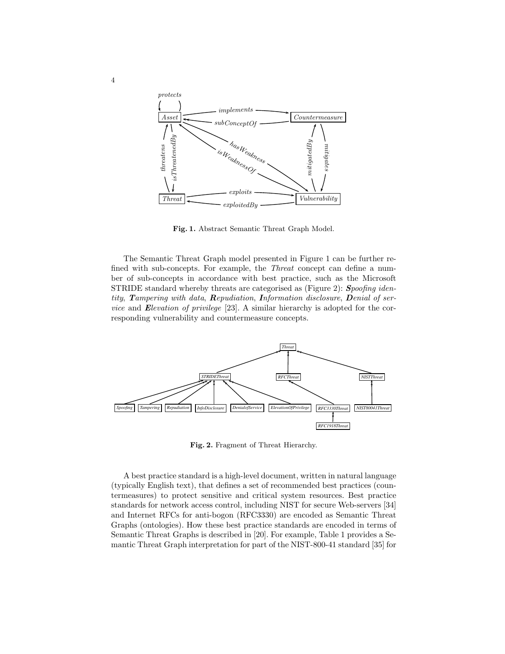

Fig. 1. Abstract Semantic Threat Graph Model.

The Semantic Threat Graph model presented in Figure 1 can be further refined with sub-concepts. For example, the Threat concept can define a number of sub-concepts in accordance with best practice, such as the Microsoft STRIDE standard whereby threats are categorised as (Figure 2): Spoofing identity, Tampering with data, Repudiation, Information disclosure, Denial of service and Elevation of privilege [23]. A similar hierarchy is adopted for the corresponding vulnerability and countermeasure concepts.



Fig. 2. Fragment of Threat Hierarchy.

A best practice standard is a high-level document, written in natural language (typically English text), that defines a set of recommended best practices (countermeasures) to protect sensitive and critical system resources. Best practice standards for network access control, including NIST for secure Web-servers [34] and Internet RFCs for anti-bogon (RFC3330) are encoded as Semantic Threat Graphs (ontologies). How these best practice standards are encoded in terms of Semantic Threat Graphs is described in [20]. For example, Table 1 provides a Semantic Threat Graph interpretation for part of the NIST-800-41 standard [35] for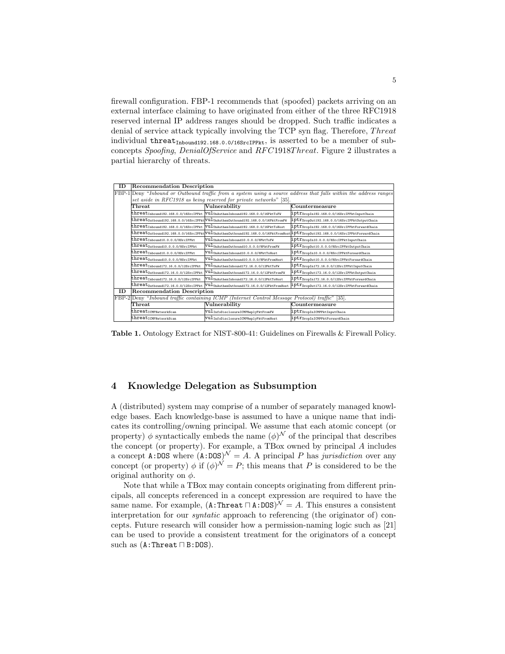firewall configuration. FBP-1 recommends that (spoofed) packets arriving on an external interface claiming to have originated from either of the three RFC1918 reserved internal IP address ranges should be dropped. Such traffic indicates a denial of service attack typically involving the TCP syn flag. Therefore,  $Thread$ individual threat<sub>Inbound192.168.0.0/16SrcIPPkt</sub>, is asserted to be a member of subconcepts Spoofing, DenialOfService and RFC1918Threat. Figure 2 illustrates a partial hierarchy of threats.

| ID | <b>Recommendation Description</b>                                                                                 |                                                                                                                |                                                                      |
|----|-------------------------------------------------------------------------------------------------------------------|----------------------------------------------------------------------------------------------------------------|----------------------------------------------------------------------|
|    | FBP-1 Deny "Inbound or Outbound traffic from a system using a source address that falls within the address ranges |                                                                                                                |                                                                      |
|    | set aside in RFC1918 as being reserved for private networks" [35].                                                |                                                                                                                |                                                                      |
|    | $\operatorname{Thread}$                                                                                           | Vulnerability                                                                                                  | Countermeasure                                                       |
|    | threat <sub>Inbound192.168.0.0/16SrcIPPkt</sub>                                                                   | VUlUnAuthenInbound192.168.0.0/16PktToFW                                                                        | iptr <sub>DropIn192.168.0.0/16SrcIPPktInputChain</sub>               |
|    |                                                                                                                   | ${\rm threat_{\text{Outbound192.168.0.0/16SrcIPPtt}}\rm{vul_{\text{UnAuthenOutbound192.168.0.0/16PttFromFW}}}$ | iptr <sub>DropOut192.168.0.0/16SrcIPPktOutputChain</sub>             |
|    | threat <sub>Inbound192.168.0.0/16SrcIPPkt</sub>                                                                   | $\texttt{vul}_{\texttt{UnAuthenticationInbound192.168.0.0/16PttToHost}}$                                       | $\texttt{iptr}_{\texttt{DropIn192.168.0.0/16SrcIPPttForwardChain}}$  |
|    | threat <sub>0utbound192.168.0.0/16SrcIPPkt</sub>                                                                  | VUlUnAuthenOutbound192.168.0.0/16PktFromHost                                                                   | $\texttt{iptr}_{\texttt{DropOut192.168.0.0/16SrcIPPttForwardChain}}$ |
|    | threat <sub>Inbound10.0.0.0/8SrcIPPkt</sub>                                                                       | $\texttt{vul}_{\texttt{UnAuthenticationInbound10.0.0.0/8PttToFW}}$                                             | iptr <sub>DropIn10.0.0.0/8SrcIPPktInputChain</sub>                   |
|    | threat <sub>0utbound10.0.0.0/8SrcIPPkt</sub>                                                                      | VUlUnAuthenOutbound10.0.0.0/8PktFromFW                                                                         | iptr <sub>Drop0ut10.0.0.0/8SrcIPPkt0utputChain</sub>                 |
|    | threat <sub>Inbound10.0.0.0/8SrcIPPkt</sub>                                                                       | VUlUnAuthenInbound10.0.0.0/8PktToHost                                                                          | iptr <sub>DropIn10.0.0.0/8SrcIPPktForwardChain</sub>                 |
|    | threat <sub>0utbound10.0.0.0/8SrcIPPkt</sub>                                                                      | $\texttt{vul}_{\texttt{UnAuthenOutbound10.0.0.0/8PktFromHost}}$                                                | iptr <sub>DropOut10.0.0.0/8SrcIPPktForwardChain</sub>                |
|    | threat <sub>Inbound172.16.0.0/12SrcIPPkt</sub>                                                                    | $\texttt{vul}_{\texttt{UnAuthenticationInbound172.16.0.0/12PttToFW}}$                                          | iptr <sub>DropIn172.16.0.0/12SrcIPPktInputChain</sub>                |
|    | threat <sub>0utbound172.16.0.0/12SrcIPPkt</sub>                                                                   | $\texttt{full}_{\texttt{UnAuthenOutbound172.16.0.0/12PktFromFW}}$                                              | iptr <sub>DropOut172.16.0.0/12SrcIPPktOutputChain</sub>              |
|    | threat <sub>Inbound172.16.0.0/12SrcIPPkt</sub>                                                                    | $\texttt{vul}_{\texttt{UnAuthenticationInbound172.16.0.0/12PttToHost}}$                                        | $\texttt{iptr}_{\texttt{DropIn172.16.0.0/12SrcIPPttForwardChain}}$   |
|    | threat <sub>0utbound172.16.0.0/12SrcIPPkt</sub>                                                                   | $\texttt{vul}_{\texttt{UnAuthenticationOutput2.16.0.0/12PktFromHost}}$                                         | iptr <sub>DropOut172.16.0.0/12SrcIPPktForwardChain</sub>             |
| ID | <b>Recommendation Description</b>                                                                                 |                                                                                                                |                                                                      |
|    | FBP-2 Deny "Inbound traffic containing ICMP (Internet Control Message Protocol) traffic" [35].                    |                                                                                                                |                                                                      |
|    | $\bar{{\rm The}}$ at                                                                                              | Vulnerability                                                                                                  | Countermeasure                                                       |
|    | threat <sub>ICMPNetworkScan</sub>                                                                                 | $\texttt{vul}_{\texttt{InfoDisclogureICMPReplyPktFromFW}}$                                                     | iptr <sub>DropInICMPPktInputChain</sub>                              |
|    | threat <sub>ICMPNetworkScan</sub>                                                                                 | $\texttt{vul}_{\texttt{InfoDisclosureICMPReplyPktFromHost}}$                                                   | iptr <sub>DropInICMPPktForwardChain</sub>                            |

Table 1. Ontology Extract for NIST-800-41: Guidelines on Firewalls & Firewall Policy.

#### 4 Knowledge Delegation as Subsumption

A (distributed) system may comprise of a number of separately managed knowledge bases. Each knowledge-base is assumed to have a unique name that indicates its controlling/owning principal. We assume that each atomic concept (or property)  $\phi$  syntactically embeds the name  $(\phi)^{\mathcal{N}}$  of the principal that describes the concept (or property). For example, a TBox owned by principal A includes a concept A:DOS where  $(A:DOS)^{\mathcal{N}} = A$ . A principal P has jurisdiction over any concept (or property)  $\phi$  if  $(\phi)^{\mathcal{N}} = P$ ; this means that P is considered to be the original authority on  $\phi$ .

Note that while a TBox may contain concepts originating from different principals, all concepts referenced in a concept expression are required to have the same name. For example,  $(A:Thread \sqcap A:DOS)^{\mathcal{N}} = A$ . This ensures a consistent interpretation for our syntatic approach to referencing (the originator of) concepts. Future research will consider how a permission-naming logic such as [21] can be used to provide a consistent treatment for the originators of a concept such as (A:Threat ⊓ B:DOS).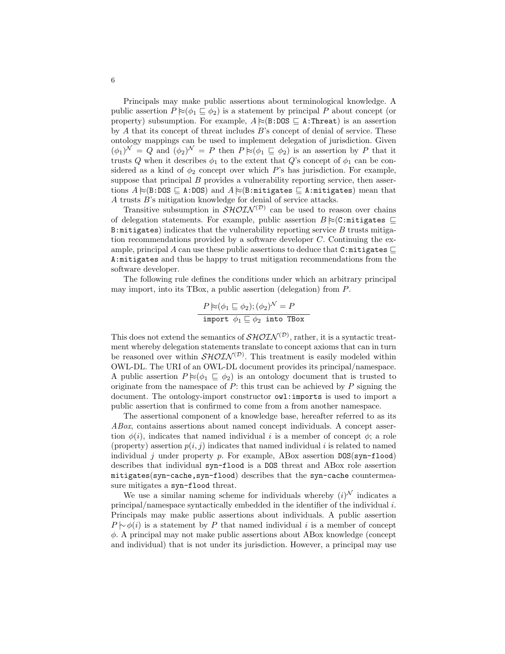Principals may make public assertions about terminological knowledge. A public assertion  $P \approx (\phi_1 \sqsubseteq \phi_2)$  is a statement by principal P about concept (or property) subsumption. For example,  $A \approx (B:DOS \subseteq A:Threat)$  is an assertion by A that its concept of threat includes B's concept of denial of service. These ontology mappings can be used to implement delegation of jurisdiction. Given  $(\phi_1)^{\mathcal{N}} = Q$  and  $(\phi_2)^{\mathcal{N}} = P$  then  $P \not\approx (\phi_1 \sqsubseteq \phi_2)$  is an assertion by P that it trusts Q when it describes  $\phi_1$  to the extent that Q's concept of  $\phi_1$  can be considered as a kind of  $\phi_2$  concept over which P's has jurisdiction. For example, suppose that principal  $B$  provides a vulnerability reporting service, then assertions  $A \approx (B:DOS \subseteq A:DOS)$  and  $A \approx (B:mitigates \subseteq A:mitigates)$  mean that A trusts B's mitigation knowledge for denial of service attacks.

Transitive subsumption in  $\mathcal{SHOLN}^{(\mathcal{D})}$  can be used to reason over chains of delegation statements. For example, public assertion  $B \approx (C:\text{mitigates } \Box$ B: $m$ itigates) indicates that the vulnerability reporting service  $B$  trusts mitigation recommendations provided by a software developer  $C$ . Continuing the example, principal A can use these public assertions to deduce that C:mitigates  $\sqsubseteq$ A:mitigates and thus be happy to trust mitigation recommendations from the software developer.

The following rule defines the conditions under which an arbitrary principal may import, into its TBox, a public assertion (delegation) from P.

$$
P \nvDash (\phi_1 \sqsubseteq \phi_2); (\phi_2)^{\mathcal{N}} = P
$$
  
import  $\phi_1 \sqsubseteq \phi_2$  into TBox

This does not extend the semantics of  $\mathcal{SHOLN}^{(\mathcal{D})}$ , rather, it is a syntactic treatment whereby delegation statements translate to concept axioms that can in turn be reasoned over within  $\mathcal{SHOIN}^{(\mathcal{D})}$ . This treatment is easily modeled within OWL-DL. The URI of an OWL-DL document provides its principal/namespace. A public assertion  $P \approx (\phi_1 \sqsubseteq \phi_2)$  is an ontology document that is trusted to originate from the namespace of  $P$ : this trust can be achieved by  $P$  signing the document. The ontology-import constructor owl:imports is used to import a public assertion that is confirmed to come from a from another namespace.

The assertional component of a knowledge base, hereafter referred to as its ABox, contains assertions about named concept individuals. A concept assertion  $\phi(i)$ , indicates that named individual i is a member of concept  $\phi$ ; a role (property) assertion  $p(i, j)$  indicates that named individual i is related to named individual j under property p. For example, ABox assertion  $DOS(syn-flood)$ describes that individual syn-flood is a DOS threat and ABox role assertion mitigates(syn-cache,syn-flood) describes that the syn-cache countermeasure mitigates a syn-flood threat.

We use a similar naming scheme for individuals whereby  $(i)^{\mathcal{N}}$  indicates a principal/namespace syntactically embedded in the identifier of the individual  $i$ . Principals may make public assertions about individuals. A public assertion  $P \rightarrow \phi(i)$  is a statement by P that named individual i is a member of concept φ. A principal may not make public assertions about ABox knowledge (concept and individual) that is not under its jurisdiction. However, a principal may use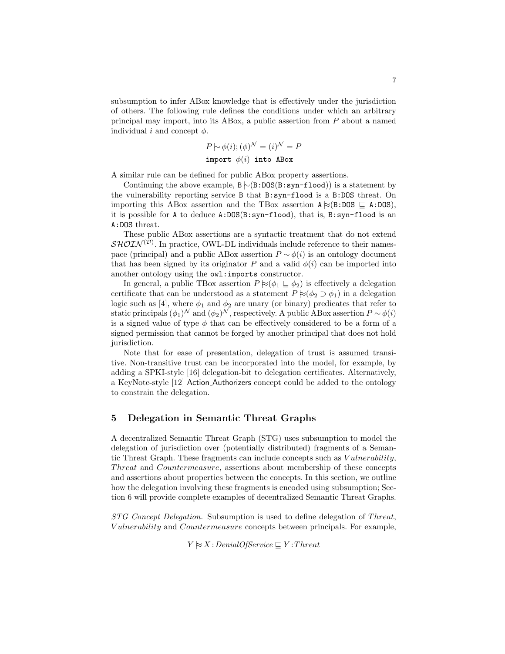subsumption to infer ABox knowledge that is effectively under the jurisdiction of others. The following rule defines the conditions under which an arbitrary principal may import, into its ABox, a public assertion from P about a named individual i and concept  $\phi$ .

$$
P \triangleright \phi(i); (\phi)^{\mathcal{N}} = (i)^{\mathcal{N}} = P
$$
  
import  $\phi(i)$  into ABox

A similar rule can be defined for public ABox property assertions.

Continuing the above example,  $B \sim (B:DOS(B:syn-flood))$  is a statement by the vulnerability reporting service B that B:syn-flood is a B:DOS threat. On importing this ABox assertion and the TBox assertion  $A \approx (B: DOS \subseteq A: DOS),$ it is possible for A to deduce A:DOS(B:syn-flood), that is, B:syn-flood is an A:DOS threat.

These public ABox assertions are a syntactic treatment that do not extend  $\mathcal{SHOIN}^{(\mathcal{D})}$ . In practice, OWL-DL individuals include reference to their namespace (principal) and a public ABox assertion  $P \rightarrow \phi(i)$  is an ontology document that has been signed by its originator P and a valid  $\phi(i)$  can be imported into another ontology using the owl:imports constructor.

In general, a public TBox assertion  $P \approx (\phi_1 \sqsubseteq \phi_2)$  is effectively a delegation certificate that can be understood as a statement  $P \approx (\phi_2 \supset \phi_1)$  in a delegation logic such as [4], where  $\phi_1$  and  $\phi_2$  are unary (or binary) predicates that refer to static principals  $(\phi_1)^{\mathcal{N}}$  and  $(\phi_2)^{\mathcal{N}}$ , respectively. A public ABox assertion  $P \mid \sim \phi(i)$ is a signed value of type  $\phi$  that can be effectively considered to be a form of a signed permission that cannot be forged by another principal that does not hold jurisdiction.

Note that for ease of presentation, delegation of trust is assumed transitive. Non-transitive trust can be incorporated into the model, for example, by adding a SPKI-style [16] delegation-bit to delegation certificates. Alternatively, a KeyNote-style [12] Action Authorizers concept could be added to the ontology to constrain the delegation.

#### 5 Delegation in Semantic Threat Graphs

A decentralized Semantic Threat Graph (STG) uses subsumption to model the delegation of jurisdiction over (potentially distributed) fragments of a Semantic Threat Graph. These fragments can include concepts such as *Vulnerability*, Threat and Countermeasure, assertions about membership of these concepts and assertions about properties between the concepts. In this section, we outline how the delegation involving these fragments is encoded using subsumption; Section 6 will provide complete examples of decentralized Semantic Threat Graphs.

STG Concept Delegation. Subsumption is used to define delegation of Threat, V ulnerability and Countermeasure concepts between principals. For example,

 $Y \approx X : DenialOfService \sqsubseteq Y : Thread$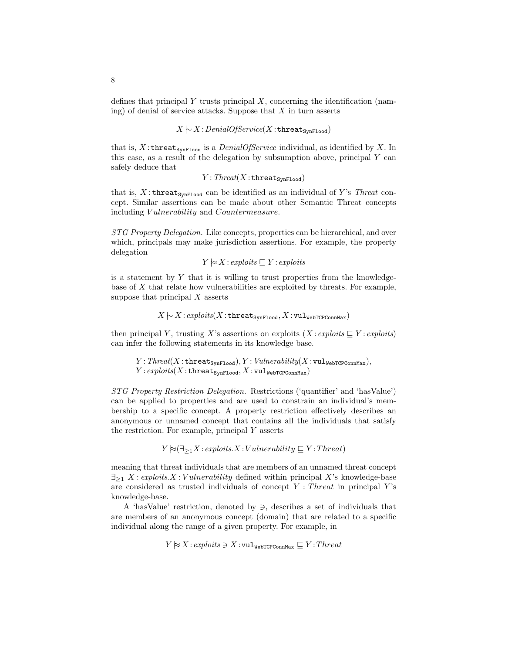defines that principal Y trusts principal  $X$ , concerning the identification (naming) of denial of service attacks. Suppose that  $X$  in turn asserts

# $X \sim X : DenialOfService(X : \text{thread}$ <sub>SynFlood</sub>)

that is, X:threat<sub>SynFlood</sub> is a *DenialOfService* individual, as identified by X. In this case, as a result of the delegation by subsumption above, principal  $Y$  can safely deduce that

$$
Y: Thread(X:thread_{SynFlood})
$$

that is,  $X$ : threat<sub>SynFlood</sub> can be identified as an individual of Y's Threat concept. Similar assertions can be made about other Semantic Threat concepts including *Vulnerability* and *Countermeasure*.

STG Property Delegation. Like concepts, properties can be hierarchical, and over which, principals may make jurisdiction assertions. For example, the property delegation

 $Y \approx X$ : exploits  $\sqsubseteq Y$ : exploits

is a statement by  $Y$  that it is willing to trust properties from the knowledgebase of X that relate how vulnerabilities are exploited by threats. For example, suppose that principal  $X$  asserts

 $X \rightarrow X : exploits(X : \text{thread}_\text{SwFload}, X : \text{vul}_\text{WebTCPConnMax})$ 

then principal Y, trusting X's assertions on exploits (X: exploits  $\subseteq Y$ : exploits) can infer the following statements in its knowledge base.

 $Y:Thread(X:thread_{SynFload}), Y:Vulnerability(X:vul_{WebTCPConnMax}),$  $Y:exploits(X:\texttt{thread}_{SynFlood}, X:\texttt{vul}_{WebTCPconnMax})$ 

STG Property Restriction Delegation. Restrictions ('quantifier' and 'hasValue') can be applied to properties and are used to constrain an individual's membership to a specific concept. A property restriction effectively describes an anonymous or unnamed concept that contains all the individuals that satisfy the restriction. For example, principal Y asserts

 $Y \approx (\exists_{\geq 1} X : exploits.X : Vulnerability \sqsubseteq Y : Thread)$ 

meaning that threat individuals that are members of an unnamed threat concept  $\exists_{\geq 1} X : exploits.X:Vulnerability defined within principal X's knowledge-base$ are considered as trusted individuals of concept  $Y: Thread$  in principal Y's knowledge-base.

A 'hasValue' restriction, denoted by ∋, describes a set of individuals that are members of an anonymous concept (domain) that are related to a specific individual along the range of a given property. For example, in

$$
Y \approx X : exploits \ni X : \texttt{vul}_\mathtt{WebTCPConnMax} \sqsubseteq Y : Thread
$$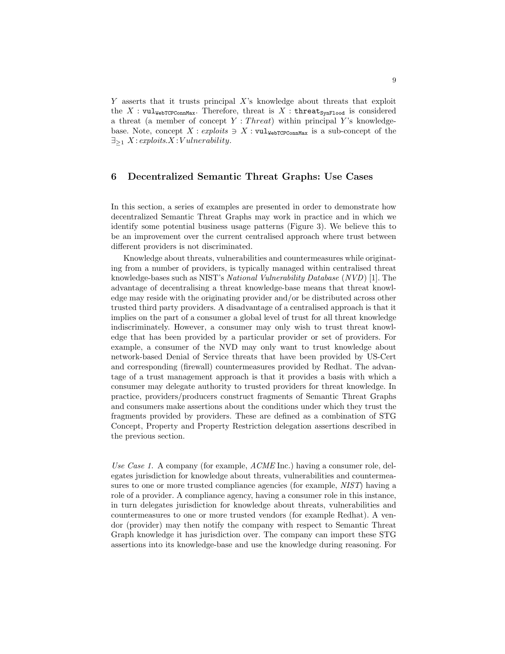$Y$  asserts that it trusts principal  $X$ 's knowledge about threats that exploit the X :  $\texttt{vul}_{\texttt{WebTCPConnMax}}$ . Therefore, threat is X : threat<sub>SynFlood</sub> is considered a threat (a member of concept  $Y: Thread)$  within principal Y's knowledgebase. Note, concept  $X:exploits \ni X: \text{vul}_\text{WebTCPConnMax}$  is a sub-concept of the  $\exists_{\geq 1} X$ : exploits.X : Vulnerability.

### 6 Decentralized Semantic Threat Graphs: Use Cases

In this section, a series of examples are presented in order to demonstrate how decentralized Semantic Threat Graphs may work in practice and in which we identify some potential business usage patterns (Figure 3). We believe this to be an improvement over the current centralised approach where trust between different providers is not discriminated.

Knowledge about threats, vulnerabilities and countermeasures while originating from a number of providers, is typically managed within centralised threat knowledge-bases such as NIST's National Vulnerability Database (NVD) [1]. The advantage of decentralising a threat knowledge-base means that threat knowledge may reside with the originating provider and/or be distributed across other trusted third party providers. A disadvantage of a centralised approach is that it implies on the part of a consumer a global level of trust for all threat knowledge indiscriminately. However, a consumer may only wish to trust threat knowledge that has been provided by a particular provider or set of providers. For example, a consumer of the NVD may only want to trust knowledge about network-based Denial of Service threats that have been provided by US-Cert and corresponding (firewall) countermeasures provided by Redhat. The advantage of a trust management approach is that it provides a basis with which a consumer may delegate authority to trusted providers for threat knowledge. In practice, providers/producers construct fragments of Semantic Threat Graphs and consumers make assertions about the conditions under which they trust the fragments provided by providers. These are defined as a combination of STG Concept, Property and Property Restriction delegation assertions described in the previous section.

Use Case 1. A company (for example,  $ACME$  Inc.) having a consumer role, delegates jurisdiction for knowledge about threats, vulnerabilities and countermeasures to one or more trusted compliance agencies (for example, NIST) having a role of a provider. A compliance agency, having a consumer role in this instance, in turn delegates jurisdiction for knowledge about threats, vulnerabilities and countermeasures to one or more trusted vendors (for example Redhat). A vendor (provider) may then notify the company with respect to Semantic Threat Graph knowledge it has jurisdiction over. The company can import these STG assertions into its knowledge-base and use the knowledge during reasoning. For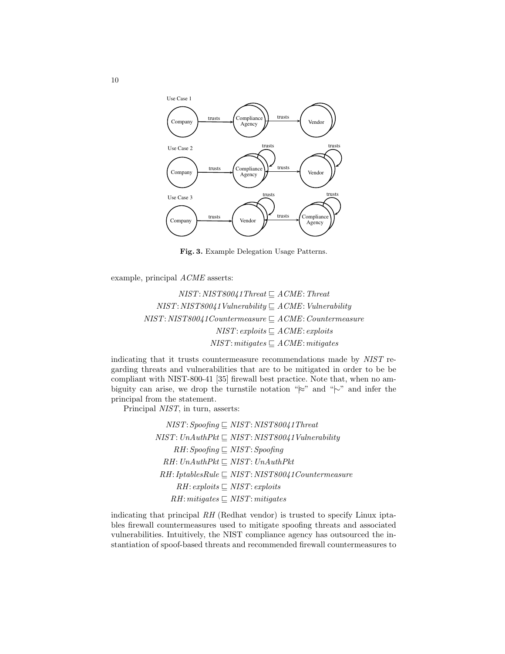

Fig. 3. Example Delegation Usage Patterns.

example, principal ACME asserts:

NIST:NIST80041Threat ⊑ ACME:Threat  $NIST: NIST80041Vulnerability \sqsubseteq ACME:Vulnerability$ NIST:NIST80041Countermeasure ⊑ ACME:Countermeasure  $NIST: exploits \sqsubseteq ACME: exploits$  $NIST:mitigates \sqsubseteq ACME:mitigates$ 

indicating that it trusts countermeasure recommendations made by NIST regarding threats and vulnerabilities that are to be mitigated in order to be be compliant with NIST-800-41 [35] firewall best practice. Note that, when no ambiguity can arise, we drop the turnstile notation "|≈" and "|∼" and infer the principal from the statement.

Principal NIST, in turn, asserts:

NIST:Spoofing ⊑ NIST:NIST80041Threat  $NIST: UnAuthor \sqsubset NIST: NIST80041Vulnerability$  $RH:Spoofing \sqsubseteq NIST:Spoofing$  $RH: UnAuthor \sqsubset NIST: UnAuthor$ RH:IptablesRule ⊑ NIST:NIST80041Countermeasure  $RH:exploits \sqsubseteq NIST:exploits$  $RH:mitigates \sqsubseteq NIST:mitigates$ 

indicating that principal  $RH$  (Redhat vendor) is trusted to specify Linux iptables firewall countermeasures used to mitigate spoofing threats and associated vulnerabilities. Intuitively, the NIST compliance agency has outsourced the instantiation of spoof-based threats and recommended firewall countermeasures to

10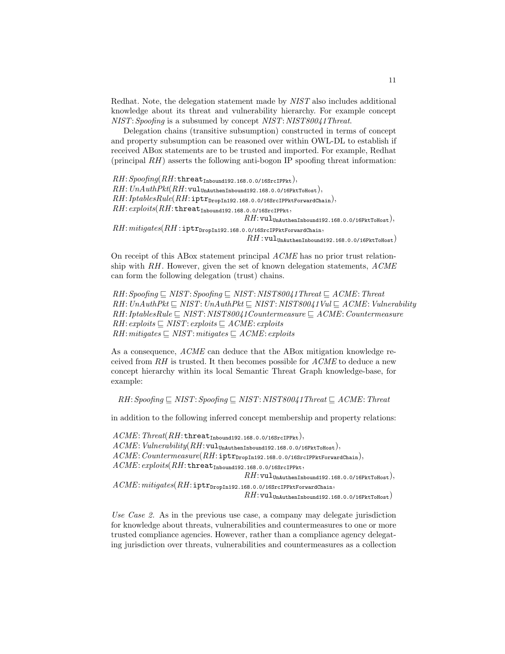Redhat. Note, the delegation statement made by NIST also includes additional knowledge about its threat and vulnerability hierarchy. For example concept NIST: Spoofing is a subsumed by concept NIST: NIST80041 Threat.

Delegation chains (transitive subsumption) constructed in terms of concept and property subsumption can be reasoned over within OWL-DL to establish if received ABox statements are to be trusted and imported. For example, Redhat (principal RH) asserts the following anti-bogon IP spoofing threat information:

 $RH:Spoofing(RH:\mathtt{thread}_{\mathtt{Inbound192.168.0.0/16SrcIPPtt}}),$  $RH: UnAuthPkt(RH: \texttt{vul}_{\texttt{UnAuthorInbound192.168.0.0/16PktToHost}}),$  $RH: IptablesRule(RH: \texttt{iptr}_{\texttt{DropIn192.168.0.0/16SrcIPPttForwardChain}}),$  $RH:exploits(RH:$ threat<sub>Inbound192.168.0.0/16SrcIPPkt</sub>,  $\pmb{R} H \text{:}\texttt{vul}\textsubscript{UnAutomahbound192.168.0.0/16PktToHost}),$  $RH$ :  $mitigates(RH$ :  $\texttt{iptr}_{\texttt{DropIn192.168.0.0/16SrcIPPttForwardChain}}$ ,  $RH$ : VulunAuthenInbound192.168.0.0/16PktToHost)

On receipt of this ABox statement principal  $ACME$  has no prior trust relationship with  $RH$ . However, given the set of known delegation statements,  $ACME$ can form the following delegation (trust) chains.

 $RH:Spoofing \sqsubset NIST:Spoofing \sqsubset NIST: NIST80041Thread \sqsubset ACME: Thread$  $RH: UnAuthPkt ⊆ NIST: UnAuthPkt ⊆ NIST: NIST: 80041Vul ⊆ ACME: Valnerability$  $RH:IptablesRule \sqsubseteq NIST: NIST80041Countermeasure \sqsubseteq ACME: Countermeasure$  $RH:exploits \sqsubseteq NIST:exploits \sqsubseteq ACME:exploits$  $RH:mitigates \sqsubset NIST:mitigates \sqsubset ACME: exploits$ 

As a consequence, ACME can deduce that the ABox mitigation knowledge received from  $RH$  is trusted. It then becomes possible for  $ACME$  to deduce a new concept hierarchy within its local Semantic Threat Graph knowledge-base, for example:

 $RH:Spoofing \sqsubseteq NIST:Spoofing \sqsubseteq NIST: NIST80041Thread \sqsubseteq ACME:Thread$ 

in addition to the following inferred concept membership and property relations:

 $ACME: Thread(RH: \mathtt{thread}_{\mathtt{Inbound192.168.0.0/16SrcIPPtt}}),$  $ACME:Vulnerability(RH:vul<sub>UnAuthenInbound192.168.0.0/16PktToHost),</sub>$  $ACME: Countermeasure(RH: \texttt{iptr}_{\texttt{DropIn192.168.0.0/16SrcIPPktForwardChain}}),$  $ACME: exploits(RH:$ threat<sub>Inbound192.168.0.0/16SrcIPPkt</sub>,  $RH:$ vul $_{\text{UnAuthenticationInbound192.168.0.0/16PktToHost}}),$  $ACME:mitigates(RH: \texttt{iptr}_{\texttt{DropIn192.168.0.0/16SrcIPPttForwardChain}},$  $RH: \texttt{vul}_{\texttt{UnAuthenticationInbound192.168.0.0/16PktToHost}})$ 

Use Case 2. As in the previous use case, a company may delegate jurisdiction for knowledge about threats, vulnerabilities and countermeasures to one or more trusted compliance agencies. However, rather than a compliance agency delegating jurisdiction over threats, vulnerabilities and countermeasures as a collection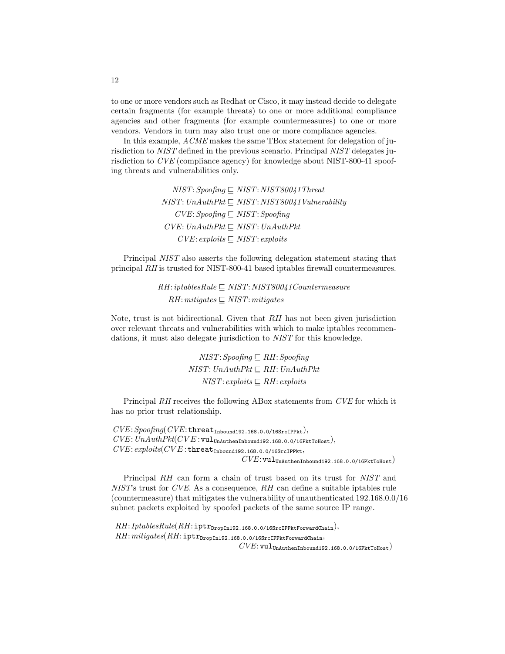to one or more vendors such as Redhat or Cisco, it may instead decide to delegate certain fragments (for example threats) to one or more additional compliance agencies and other fragments (for example countermeasures) to one or more vendors. Vendors in turn may also trust one or more compliance agencies.

In this example, ACME makes the same TBox statement for delegation of jurisdiction to NIST defined in the previous scenario. Principal NIST delegates jurisdiction to CVE (compliance agency) for knowledge about NIST-800-41 spoofing threats and vulnerabilities only.

> NIST:Spoofing ⊑ NIST:NIST80041Threat  $NIST: UnAuthor \sqsubseteq NIST: NIST80041Vulnerability$  $CVE: Spoofing \sqsubseteq NIST: Spoofing$  $CVE: UnAuthor \sqsubset NIST: UnAuthor$  $CVE: exploits \sqsubseteq NIST: exploits$

Principal NIST also asserts the following delegation statement stating that principal RH is trusted for NIST-800-41 based iptables firewall countermeasures.

> $RH:iptablesRule \sqsubset NIST: NIST80041Countermeasure$  $RH:mitigates \sqsubseteq NIST:mitigates$

Note, trust is not bidirectional. Given that  $RH$  has not been given jurisdiction over relevant threats and vulnerabilities with which to make iptables recommendations, it must also delegate jurisdiction to NIST for this knowledge.

> NIST:Spoofing ⊑ RH:Spoofing NIST:UnAuthPkt ⊑ RH:UnAuthPkt  $NIST: exploits \sqsubseteq RH: exploits$

Principal RH receives the following ABox statements from CVE for which it has no prior trust relationship.

 $\label{eq:CKE:Stoofing} CVE \colon Spoofing(CVE \colon \mathtt{thread}_{\mathtt{Inbound192.168.0.0/16SrcIPPkt}}),$  $\label{eq:CKL} CVE\colon UnAuthor(CVE; \verb"vul"_{\verb"UnAuthenticationInbound192.168.0.0/16PttToHost}),$  $\textit{CVE}: exploits (CVE: \texttt{threat}_{\texttt{Inbound192.168.0.0/16SrcIPPtt}},$  $CVE:$ vul<sub>UnAuthenInbound192.168.0.0/16PktToHost</sub>)

Principal RH can form a chain of trust based on its trust for NIST and  $NIST$ 's trust for *CVE*. As a consequence,  $RH$  can define a suitable iptables rule (countermeasure) that mitigates the vulnerability of unauthenticated 192.168.0.0/16 subnet packets exploited by spoofed packets of the same source IP range.

 $RH: IptablesRule(RH: \texttt{iptr}_{\texttt{DropIn192.168.0.0/16SrcIPPttForwardChain}}),$  $RH:mitigates(RH: \texttt{iptr}_{\texttt{DropIn192.168.0.0/16SrcIPPttForwardChain}},$  $CVE:$ vulunAuthenInbound192.168.0.0/16PktToHost)

12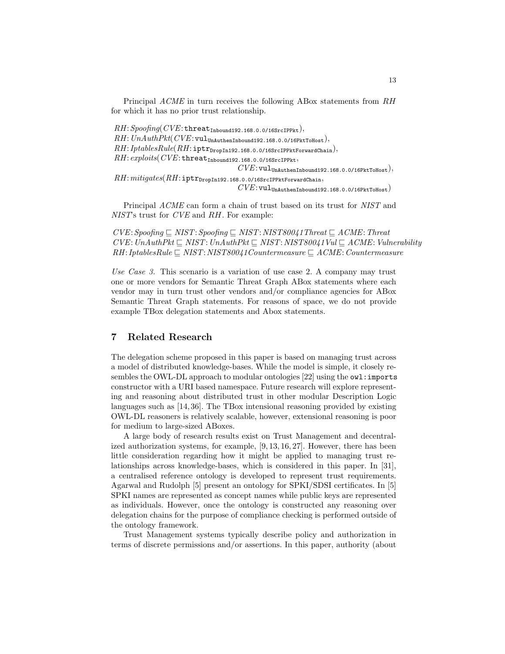Principal ACME in turn receives the following ABox statements from RH for which it has no prior trust relationship.

 $RH:Spoofing(CVE:\texttt{thread}_{Inbound192.168.0.0/16SrcIPPkt}),$  $RH:UnAuthPkt(CVE; \mathtt{vul}_{\mathtt{UnAuthorInbound192.168.0.0/16PktToHost}}),$  $RH\colon\!IptablesRule(RH\colon\!{\tt iptr}_{\tt DropIn192.168.0.0/16SrcIPPttForwardChain}),$  $RH:exploits(CVE:\mathtt{thread}_{\mathtt{Inbound192.168.0.0/16SrcIPPtt}},$  $CVE: \verb|vul|_{\verb|UnAuthenticationInbound192.168.0.0/16PttToHost}|,$  $RH\text{:}mitigates(RH\text{:}\texttt{iptr}_\texttt{DropIn192.168.0.0/16SrcIPPktForwardChain},$  $\mathit{CVE}$ : VU $\mathbf{1}_{\texttt{UnAuthenticationInbound192.168.0.0/16PktToHost}}$ 

Principal ACME can form a chain of trust based on its trust for NIST and NIST's trust for CVE and RH. For example:

 $CVE: Spoofing \sqsubset NIST: Spoofing \sqsubset NIST: NIST80041Thread \sqsubset ACME:Thread$  $CVE: UnAuthorEt \subseteq NIST: UnAuthorEt \subseteq NIST: NIST80041$  Vul  $\subseteq ACME:$  Vulnerability  $RH: IptablesRule \sqsubseteq NIST: NIST80041Countermeasure \sqsubseteq ACME:Countermeasure$ 

Use Case 3. This scenario is a variation of use case 2. A company may trust one or more vendors for Semantic Threat Graph ABox statements where each vendor may in turn trust other vendors and/or compliance agencies for ABox Semantic Threat Graph statements. For reasons of space, we do not provide example TBox delegation statements and Abox statements.

# 7 Related Research

The delegation scheme proposed in this paper is based on managing trust across a model of distributed knowledge-bases. While the model is simple, it closely resembles the OWL-DL approach to modular ontologies [22] using the owl: imports constructor with a URI based namespace. Future research will explore representing and reasoning about distributed trust in other modular Description Logic languages such as [14, 36]. The TBox intensional reasoning provided by existing OWL-DL reasoners is relatively scalable, however, extensional reasoning is poor for medium to large-sized ABoxes.

A large body of research results exist on Trust Management and decentralized authorization systems, for example, [9, 13, 16, 27]. However, there has been little consideration regarding how it might be applied to managing trust relationships across knowledge-bases, which is considered in this paper. In [31], a centralised reference ontology is developed to represent trust requirements. Agarwal and Rudolph [5] present an ontology for SPKI/SDSI certificates. In [5] SPKI names are represented as concept names while public keys are represented as individuals. However, once the ontology is constructed any reasoning over delegation chains for the purpose of compliance checking is performed outside of the ontology framework.

Trust Management systems typically describe policy and authorization in terms of discrete permissions and/or assertions. In this paper, authority (about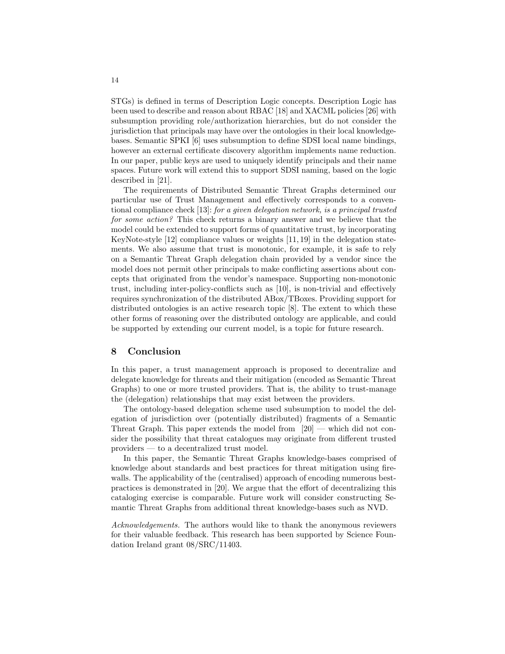STGs) is defined in terms of Description Logic concepts. Description Logic has been used to describe and reason about RBAC [18] and XACML policies [26] with subsumption providing role/authorization hierarchies, but do not consider the jurisdiction that principals may have over the ontologies in their local knowledgebases. Semantic SPKI [6] uses subsumption to define SDSI local name bindings, however an external certificate discovery algorithm implements name reduction. In our paper, public keys are used to uniquely identify principals and their name spaces. Future work will extend this to support SDSI naming, based on the logic described in [21].

The requirements of Distributed Semantic Threat Graphs determined our particular use of Trust Management and effectively corresponds to a conventional compliance check [13]: for a given delegation network, is a principal trusted for some action? This check returns a binary answer and we believe that the model could be extended to support forms of quantitative trust, by incorporating KeyNote-style [12] compliance values or weights [11, 19] in the delegation statements. We also assume that trust is monotonic, for example, it is safe to rely on a Semantic Threat Graph delegation chain provided by a vendor since the model does not permit other principals to make conflicting assertions about concepts that originated from the vendor's namespace. Supporting non-monotonic trust, including inter-policy-conflicts such as [10], is non-trivial and effectively requires synchronization of the distributed ABox/TBoxes. Providing support for distributed ontologies is an active research topic [8]. The extent to which these other forms of reasoning over the distributed ontology are applicable, and could be supported by extending our current model, is a topic for future research.

#### 8 Conclusion

In this paper, a trust management approach is proposed to decentralize and delegate knowledge for threats and their mitigation (encoded as Semantic Threat Graphs) to one or more trusted providers. That is, the ability to trust-manage the (delegation) relationships that may exist between the providers.

The ontology-based delegation scheme used subsumption to model the delegation of jurisdiction over (potentially distributed) fragments of a Semantic Threat Graph. This paper extends the model from [20] — which did not consider the possibility that threat catalogues may originate from different trusted providers — to a decentralized trust model.

In this paper, the Semantic Threat Graphs knowledge-bases comprised of knowledge about standards and best practices for threat mitigation using firewalls. The applicability of the (centralised) approach of encoding numerous bestpractices is demonstrated in [20]. We argue that the effort of decentralizing this cataloging exercise is comparable. Future work will consider constructing Semantic Threat Graphs from additional threat knowledge-bases such as NVD.

Acknowledgements. The authors would like to thank the anonymous reviewers for their valuable feedback. This research has been supported by Science Foundation Ireland grant 08/SRC/11403.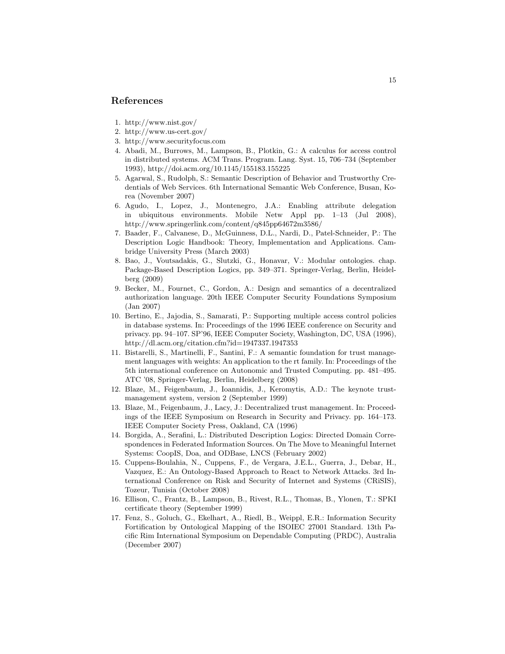#### References

- 1. http://www.nist.gov/
- 2. http://www.us-cert.gov/
- 3. http://www.securityfocus.com
- 4. Abadi, M., Burrows, M., Lampson, B., Plotkin, G.: A calculus for access control in distributed systems. ACM Trans. Program. Lang. Syst. 15, 706–734 (September 1993), http://doi.acm.org/10.1145/155183.155225
- 5. Agarwal, S., Rudolph, S.: Semantic Description of Behavior and Trustworthy Credentials of Web Services. 6th International Semantic Web Conference, Busan, Korea (November 2007)
- 6. Agudo, I., Lopez, J., Montenegro, J.A.: Enabling attribute delegation in ubiquitous environments. Mobile Netw Appl pp. 1–13 (Jul 2008), http://www.springerlink.com/content/q845pp64672m3586/
- 7. Baader, F., Calvanese, D., McGuinness, D.L., Nardi, D., Patel-Schneider, P.: The Description Logic Handbook: Theory, Implementation and Applications. Cambridge University Press (March 2003)
- 8. Bao, J., Voutsadakis, G., Slutzki, G., Honavar, V.: Modular ontologies. chap. Package-Based Description Logics, pp. 349–371. Springer-Verlag, Berlin, Heidelberg (2009)
- 9. Becker, M., Fournet, C., Gordon, A.: Design and semantics of a decentralized authorization language. 20th IEEE Computer Security Foundations Symposium (Jan 2007)
- 10. Bertino, E., Jajodia, S., Samarati, P.: Supporting multiple access control policies in database systems. In: Proceedings of the 1996 IEEE conference on Security and privacy. pp. 94–107. SP'96, IEEE Computer Society, Washington, DC, USA (1996), http://dl.acm.org/citation.cfm?id=1947337.1947353
- 11. Bistarelli, S., Martinelli, F., Santini, F.: A semantic foundation for trust management languages with weights: An application to the rt family. In: Proceedings of the 5th international conference on Autonomic and Trusted Computing. pp. 481–495. ATC '08, Springer-Verlag, Berlin, Heidelberg (2008)
- 12. Blaze, M., Feigenbaum, J., Ioannidis, J., Keromytis, A.D.: The keynote trustmanagement system, version 2 (September 1999)
- 13. Blaze, M., Feigenbaum, J., Lacy, J.: Decentralized trust management. In: Proceedings of the IEEE Symposium on Research in Security and Privacy. pp. 164–173. IEEE Computer Society Press, Oakland, CA (1996)
- 14. Borgida, A., Serafini, L.: Distributed Description Logics: Directed Domain Correspondences in Federated Information Sources. On The Move to Meaningful Internet Systems: CoopIS, Doa, and ODBase, LNCS (February 2002)
- 15. Cuppens-Boulahia, N., Cuppens, F., de Vergara, J.E.L., Guerra, J., Debar, H., Vazquez, E.: An Ontology-Based Approach to React to Network Attacks. 3rd International Conference on Risk and Security of Internet and Systems (CRiSIS), Tozeur, Tunisia (October 2008)
- 16. Ellison, C., Frantz, B., Lampson, B., Rivest, R.L., Thomas, B., Ylonen, T.: SPKI certificate theory (September 1999)
- 17. Fenz, S., Goluch, G., Ekelhart, A., Riedl, B., Weippl, E.R.: Information Security Fortification by Ontological Mapping of the ISOIEC 27001 Standard. 13th Pacific Rim International Symposium on Dependable Computing (PRDC), Australia (December 2007)